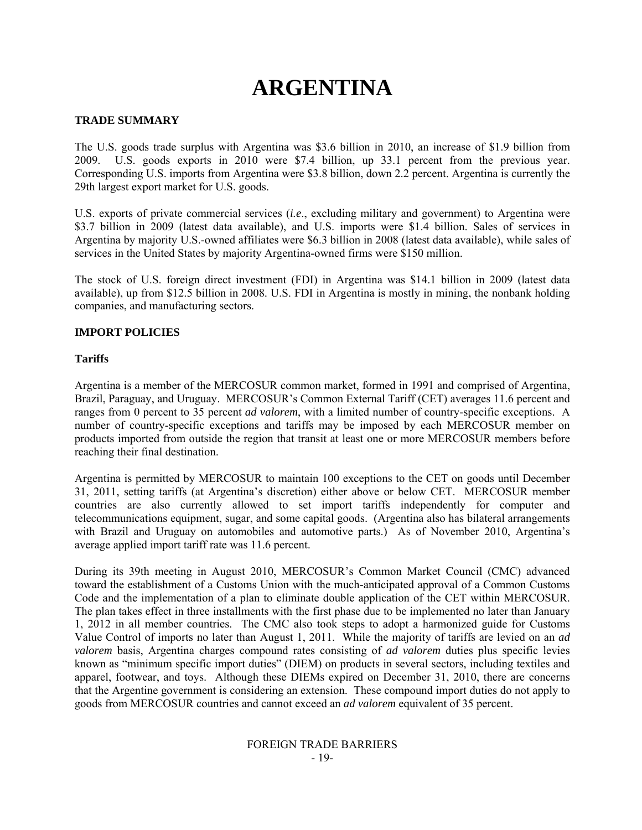# **ARGENTINA**

# **TRADE SUMMARY**

The U.S. goods trade surplus with Argentina was \$3.6 billion in 2010, an increase of \$1.9 billion from 2009. U.S. goods exports in 2010 were \$7.4 billion, up 33.1 percent from the previous year. Corresponding U.S. imports from Argentina were \$3.8 billion, down 2.2 percent. Argentina is currently the 29th largest export market for U.S. goods.

U.S. exports of private commercial services (*i.e*., excluding military and government) to Argentina were \$3.7 billion in 2009 (latest data available), and U.S. imports were \$1.4 billion. Sales of services in Argentina by majority U.S.-owned affiliates were \$6.3 billion in 2008 (latest data available), while sales of services in the United States by majority Argentina-owned firms were \$150 million.

The stock of U.S. foreign direct investment (FDI) in Argentina was \$14.1 billion in 2009 (latest data available), up from \$12.5 billion in 2008. U.S. FDI in Argentina is mostly in mining, the nonbank holding companies, and manufacturing sectors.

#### **IMPORT POLICIES**

#### **Tariffs**

Argentina is a member of the MERCOSUR common market, formed in 1991 and comprised of Argentina, Brazil, Paraguay, and Uruguay. MERCOSUR's Common External Tariff (CET) averages 11.6 percent and ranges from 0 percent to 35 percent *ad valorem*, with a limited number of country-specific exceptions. A number of country-specific exceptions and tariffs may be imposed by each MERCOSUR member on products imported from outside the region that transit at least one or more MERCOSUR members before reaching their final destination.

Argentina is permitted by MERCOSUR to maintain 100 exceptions to the CET on goods until December 31, 2011, setting tariffs (at Argentina's discretion) either above or below CET. MERCOSUR member countries are also currently allowed to set import tariffs independently for computer and telecommunications equipment, sugar, and some capital goods. (Argentina also has bilateral arrangements with Brazil and Uruguay on automobiles and automotive parts.) As of November 2010, Argentina's average applied import tariff rate was 11.6 percent.

During its 39th meeting in August 2010, MERCOSUR's Common Market Council (CMC) advanced toward the establishment of a Customs Union with the much-anticipated approval of a Common Customs Code and the implementation of a plan to eliminate double application of the CET within MERCOSUR. The plan takes effect in three installments with the first phase due to be implemented no later than January 1, 2012 in all member countries. The CMC also took steps to adopt a harmonized guide for Customs Value Control of imports no later than August 1, 2011. While the majority of tariffs are levied on an *ad valorem* basis, Argentina charges compound rates consisting of *ad valorem* duties plus specific levies known as "minimum specific import duties" (DIEM) on products in several sectors, including textiles and apparel, footwear, and toys. Although these DIEMs expired on December 31, 2010, there are concerns that the Argentine government is considering an extension. These compound import duties do not apply to goods from MERCOSUR countries and cannot exceed an *ad valorem* equivalent of 35 percent.

#### FOREIGN TRADE BARRIERS - 19-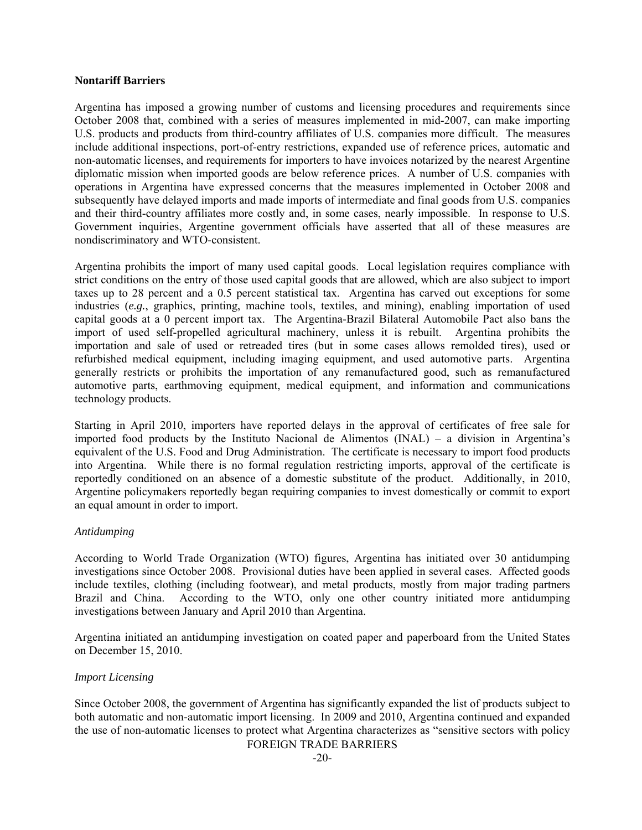#### **Nontariff Barriers**

Argentina has imposed a growing number of customs and licensing procedures and requirements since October 2008 that, combined with a series of measures implemented in mid-2007, can make importing U.S. products and products from third-country affiliates of U.S. companies more difficult. The measures include additional inspections, port-of-entry restrictions, expanded use of reference prices, automatic and non-automatic licenses, and requirements for importers to have invoices notarized by the nearest Argentine diplomatic mission when imported goods are below reference prices. A number of U.S. companies with operations in Argentina have expressed concerns that the measures implemented in October 2008 and subsequently have delayed imports and made imports of intermediate and final goods from U.S. companies and their third-country affiliates more costly and, in some cases, nearly impossible. In response to U.S. Government inquiries, Argentine government officials have asserted that all of these measures are nondiscriminatory and WTO-consistent.

Argentina prohibits the import of many used capital goods. Local legislation requires compliance with strict conditions on the entry of those used capital goods that are allowed, which are also subject to import taxes up to 28 percent and a 0.5 percent statistical tax. Argentina has carved out exceptions for some industries (*e.g.*, graphics, printing, machine tools, textiles, and mining), enabling importation of used capital goods at a 0 percent import tax. The Argentina-Brazil Bilateral Automobile Pact also bans the import of used self-propelled agricultural machinery, unless it is rebuilt. Argentina prohibits the importation and sale of used or retreaded tires (but in some cases allows remolded tires), used or refurbished medical equipment, including imaging equipment, and used automotive parts. Argentina generally restricts or prohibits the importation of any remanufactured good, such as remanufactured automotive parts, earthmoving equipment, medical equipment, and information and communications technology products.

Starting in April 2010, importers have reported delays in the approval of certificates of free sale for imported food products by the Instituto Nacional de Alimentos (INAL) – a division in Argentina's equivalent of the U.S. Food and Drug Administration. The certificate is necessary to import food products into Argentina. While there is no formal regulation restricting imports, approval of the certificate is reportedly conditioned on an absence of a domestic substitute of the product. Additionally, in 2010, Argentine policymakers reportedly began requiring companies to invest domestically or commit to export an equal amount in order to import.

#### *Antidumping*

According to World Trade Organization (WTO) figures, Argentina has initiated over 30 antidumping investigations since October 2008. Provisional duties have been applied in several cases. Affected goods include textiles, clothing (including footwear), and metal products, mostly from major trading partners Brazil and China. According to the WTO, only one other country initiated more antidumping investigations between January and April 2010 than Argentina.

Argentina initiated an antidumping investigation on coated paper and paperboard from the United States on December 15, 2010.

## *Import Licensing*

Since October 2008, the government of Argentina has significantly expanded the list of products subject to both automatic and non-automatic import licensing. In 2009 and 2010, Argentina continued and expanded the use of non-automatic licenses to protect what Argentina characterizes as "sensitive sectors with policy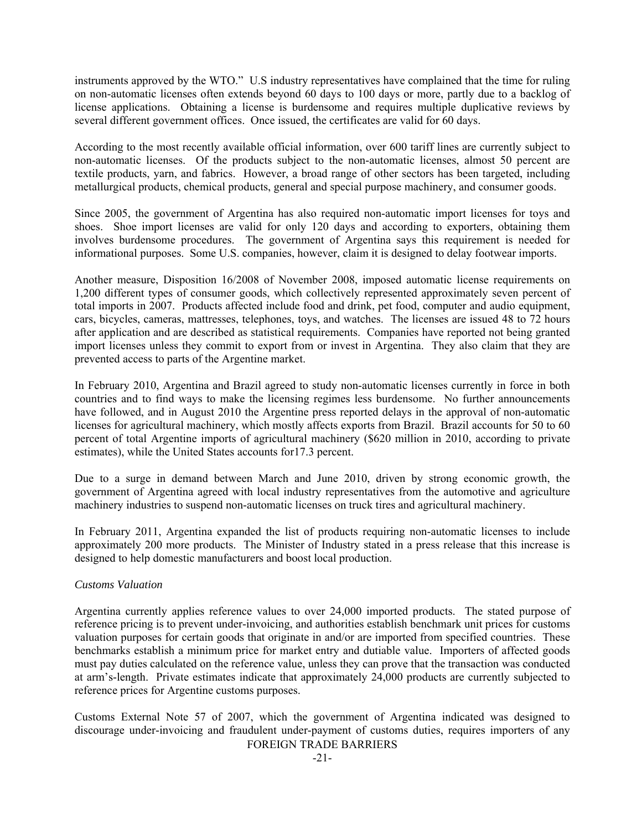instruments approved by the WTO." U.S industry representatives have complained that the time for ruling on non-automatic licenses often extends beyond 60 days to 100 days or more, partly due to a backlog of license applications. Obtaining a license is burdensome and requires multiple duplicative reviews by several different government offices. Once issued, the certificates are valid for 60 days.

According to the most recently available official information, over 600 tariff lines are currently subject to non-automatic licenses. Of the products subject to the non-automatic licenses, almost 50 percent are textile products, yarn, and fabrics. However, a broad range of other sectors has been targeted, including metallurgical products, chemical products, general and special purpose machinery, and consumer goods.

Since 2005, the government of Argentina has also required non-automatic import licenses for toys and shoes. Shoe import licenses are valid for only 120 days and according to exporters, obtaining them involves burdensome procedures. The government of Argentina says this requirement is needed for informational purposes. Some U.S. companies, however, claim it is designed to delay footwear imports.

Another measure, Disposition 16/2008 of November 2008, imposed automatic license requirements on 1,200 different types of consumer goods, which collectively represented approximately seven percent of total imports in 2007. Products affected include food and drink, pet food, computer and audio equipment, cars, bicycles, cameras, mattresses, telephones, toys, and watches. The licenses are issued 48 to 72 hours after application and are described as statistical requirements. Companies have reported not being granted import licenses unless they commit to export from or invest in Argentina. They also claim that they are prevented access to parts of the Argentine market.

In February 2010, Argentina and Brazil agreed to study non-automatic licenses currently in force in both countries and to find ways to make the licensing regimes less burdensome. No further announcements have followed, and in August 2010 the Argentine press reported delays in the approval of non-automatic licenses for agricultural machinery, which mostly affects exports from Brazil. Brazil accounts for 50 to 60 percent of total Argentine imports of agricultural machinery (\$620 million in 2010, according to private estimates), while the United States accounts for17.3 percent.

Due to a surge in demand between March and June 2010, driven by strong economic growth, the government of Argentina agreed with local industry representatives from the automotive and agriculture machinery industries to suspend non-automatic licenses on truck tires and agricultural machinery.

In February 2011, Argentina expanded the list of products requiring non-automatic licenses to include approximately 200 more products. The Minister of Industry stated in a press release that this increase is designed to help domestic manufacturers and boost local production.

## *Customs Valuation*

Argentina currently applies reference values to over 24,000 imported products. The stated purpose of reference pricing is to prevent under-invoicing, and authorities establish benchmark unit prices for customs valuation purposes for certain goods that originate in and/or are imported from specified countries. These benchmarks establish a minimum price for market entry and dutiable value. Importers of affected goods must pay duties calculated on the reference value, unless they can prove that the transaction was conducted at arm's-length. Private estimates indicate that approximately 24,000 products are currently subjected to reference prices for Argentine customs purposes.

FOREIGN TRADE BARRIERS Customs External Note 57 of 2007, which the government of Argentina indicated was designed to discourage under-invoicing and fraudulent under-payment of customs duties, requires importers of any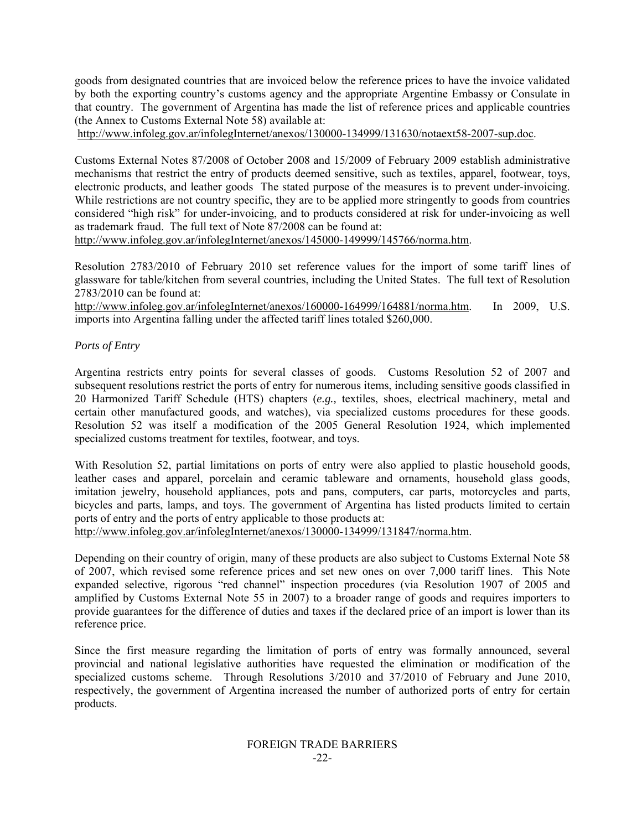goods from designated countries that are invoiced below the reference prices to have the invoice validated by both the exporting country's customs agency and the appropriate Argentine Embassy or Consulate in that country. The government of Argentina has made the list of reference prices and applicable countries (the Annex to Customs External Note 58) available at:

http://www.infoleg.gov.ar/infolegInternet/anexos/130000-134999/131630/notaext58-2007-sup.doc.

Customs External Notes 87/2008 of October 2008 and 15/2009 of February 2009 establish administrative mechanisms that restrict the entry of products deemed sensitive, such as textiles, apparel, footwear, toys, electronic products, and leather goods The stated purpose of the measures is to prevent under-invoicing. While restrictions are not country specific, they are to be applied more stringently to goods from countries considered "high risk" for under-invoicing, and to products considered at risk for under-invoicing as well as trademark fraud. The full text of Note 87/2008 can be found at:

http://www.infoleg.gov.ar/infolegInternet/anexos/145000-149999/145766/norma.htm.

Resolution 2783/2010 of February 2010 set reference values for the import of some tariff lines of glassware for table/kitchen from several countries, including the United States. The full text of Resolution 2783/2010 can be found at:

http://www.infoleg.gov.ar/infolegInternet/anexos/160000-164999/164881/norma.htm. In 2009, U.S. imports into Argentina falling under the affected tariff lines totaled \$260,000.

*Ports of Entry* 

Argentina restricts entry points for several classes of goods. Customs Resolution 52 of 2007 and subsequent resolutions restrict the ports of entry for numerous items, including sensitive goods classified in 20 Harmonized Tariff Schedule (HTS) chapters (*e.g.,* textiles, shoes, electrical machinery, metal and certain other manufactured goods, and watches), via specialized customs procedures for these goods. Resolution 52 was itself a modification of the 2005 General Resolution 1924, which implemented specialized customs treatment for textiles, footwear, and toys.

With Resolution 52, partial limitations on ports of entry were also applied to plastic household goods, leather cases and apparel, porcelain and ceramic tableware and ornaments, household glass goods, imitation jewelry, household appliances, pots and pans, computers, car parts, motorcycles and parts, bicycles and parts, lamps, and toys. The government of Argentina has listed products limited to certain ports of entry and the ports of entry applicable to those products at:

http://www.infoleg.gov.ar/infolegInternet/anexos/130000-134999/131847/norma.htm.

Depending on their country of origin, many of these products are also subject to Customs External Note 58 of 2007, which revised some reference prices and set new ones on over 7,000 tariff lines. This Note expanded selective, rigorous "red channel" inspection procedures (via Resolution 1907 of 2005 and amplified by Customs External Note 55 in 2007) to a broader range of goods and requires importers to provide guarantees for the difference of duties and taxes if the declared price of an import is lower than its reference price.

Since the first measure regarding the limitation of ports of entry was formally announced, several provincial and national legislative authorities have requested the elimination or modification of the specialized customs scheme. Through Resolutions  $3/2010$  and  $37/2010$  of February and June 2010, respectively, the government of Argentina increased the number of authorized ports of entry for certain products.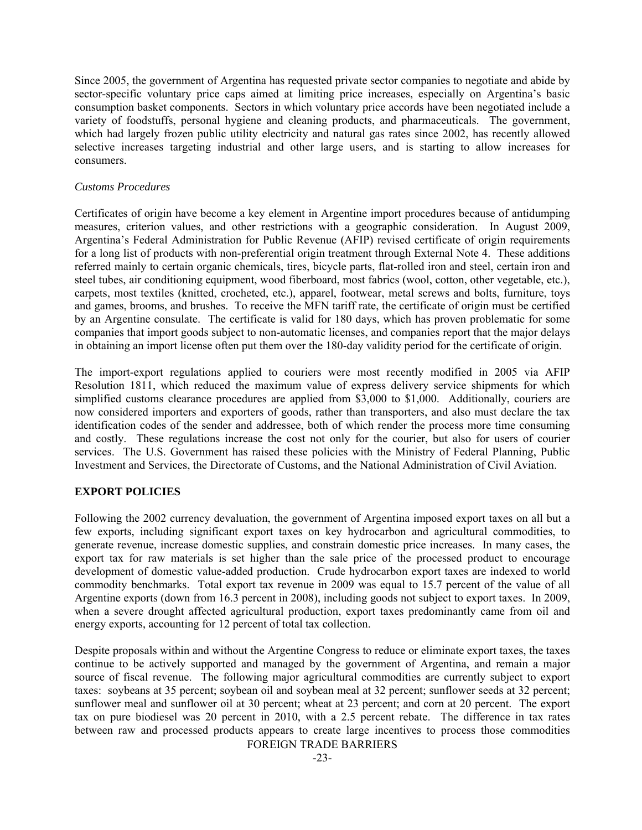Since 2005, the government of Argentina has requested private sector companies to negotiate and abide by sector-specific voluntary price caps aimed at limiting price increases, especially on Argentina's basic consumption basket components. Sectors in which voluntary price accords have been negotiated include a variety of foodstuffs, personal hygiene and cleaning products, and pharmaceuticals. The government, which had largely frozen public utility electricity and natural gas rates since 2002, has recently allowed selective increases targeting industrial and other large users, and is starting to allow increases for consumers.

#### *Customs Procedures*

Certificates of origin have become a key element in Argentine import procedures because of antidumping measures, criterion values, and other restrictions with a geographic consideration. In August 2009, Argentina's Federal Administration for Public Revenue (AFIP) revised certificate of origin requirements for a long list of products with non-preferential origin treatment through External Note 4. These additions referred mainly to certain organic chemicals, tires, bicycle parts, flat-rolled iron and steel, certain iron and steel tubes, air conditioning equipment, wood fiberboard, most fabrics (wool, cotton, other vegetable, etc.), carpets, most textiles (knitted, crocheted, etc.), apparel, footwear, metal screws and bolts, furniture, toys and games, brooms, and brushes. To receive the MFN tariff rate, the certificate of origin must be certified by an Argentine consulate. The certificate is valid for 180 days, which has proven problematic for some companies that import goods subject to non-automatic licenses, and companies report that the major delays in obtaining an import license often put them over the 180-day validity period for the certificate of origin.

The import-export regulations applied to couriers were most recently modified in 2005 via AFIP Resolution 1811, which reduced the maximum value of express delivery service shipments for which simplified customs clearance procedures are applied from \$3,000 to \$1,000. Additionally, couriers are now considered importers and exporters of goods, rather than transporters, and also must declare the tax identification codes of the sender and addressee, both of which render the process more time consuming and costly. These regulations increase the cost not only for the courier, but also for users of courier services. The U.S. Government has raised these policies with the Ministry of Federal Planning, Public Investment and Services, the Directorate of Customs, and the National Administration of Civil Aviation.

## **EXPORT POLICIES**

Following the 2002 currency devaluation, the government of Argentina imposed export taxes on all but a few exports, including significant export taxes on key hydrocarbon and agricultural commodities, to generate revenue, increase domestic supplies, and constrain domestic price increases. In many cases, the export tax for raw materials is set higher than the sale price of the processed product to encourage development of domestic value-added production. Crude hydrocarbon export taxes are indexed to world commodity benchmarks. Total export tax revenue in 2009 was equal to 15.7 percent of the value of all Argentine exports (down from 16.3 percent in 2008), including goods not subject to export taxes. In 2009, when a severe drought affected agricultural production, export taxes predominantly came from oil and energy exports, accounting for 12 percent of total tax collection.

FOREIGN TRADE BARRIERS Despite proposals within and without the Argentine Congress to reduce or eliminate export taxes, the taxes continue to be actively supported and managed by the government of Argentina, and remain a major source of fiscal revenue. The following major agricultural commodities are currently subject to export taxes: soybeans at 35 percent; soybean oil and soybean meal at 32 percent; sunflower seeds at 32 percent; sunflower meal and sunflower oil at 30 percent; wheat at 23 percent; and corn at 20 percent. The export tax on pure biodiesel was 20 percent in 2010, with a 2.5 percent rebate. The difference in tax rates between raw and processed products appears to create large incentives to process those commodities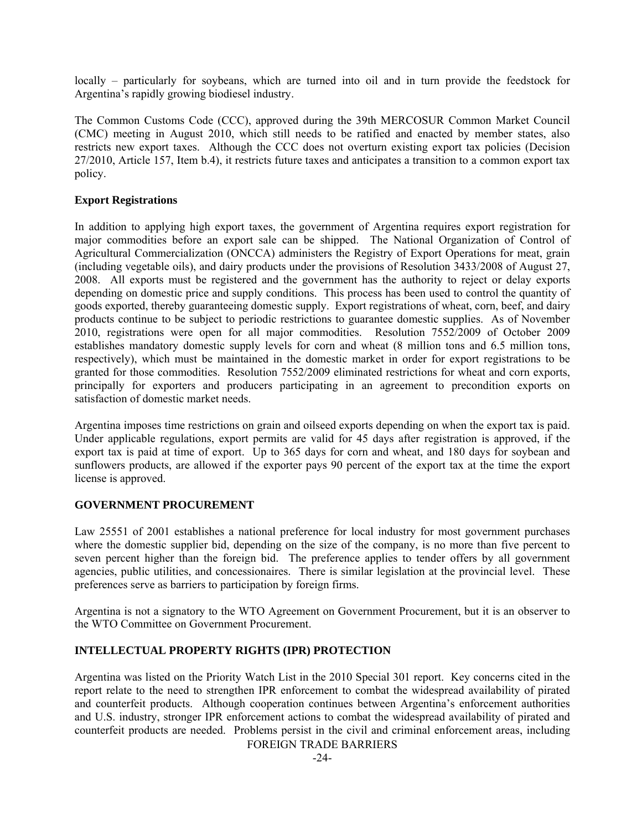locally – particularly for soybeans, which are turned into oil and in turn provide the feedstock for Argentina's rapidly growing biodiesel industry.

The Common Customs Code (CCC), approved during the 39th MERCOSUR Common Market Council (CMC) meeting in August 2010, which still needs to be ratified and enacted by member states, also restricts new export taxes. Although the CCC does not overturn existing export tax policies (Decision 27/2010, Article 157, Item b.4), it restricts future taxes and anticipates a transition to a common export tax policy.

## **Export Registrations**

In addition to applying high export taxes, the government of Argentina requires export registration for major commodities before an export sale can be shipped. The National Organization of Control of Agricultural Commercialization (ONCCA) administers the Registry of Export Operations for meat, grain (including vegetable oils), and dairy products under the provisions of Resolution 3433/2008 of August 27, 2008. All exports must be registered and the government has the authority to reject or delay exports depending on domestic price and supply conditions. This process has been used to control the quantity of goods exported, thereby guaranteeing domestic supply. Export registrations of wheat, corn, beef, and dairy products continue to be subject to periodic restrictions to guarantee domestic supplies. As of November 2010, registrations were open for all major commodities. Resolution 7552/2009 of October 2009 establishes mandatory domestic supply levels for corn and wheat (8 million tons and 6.5 million tons, respectively), which must be maintained in the domestic market in order for export registrations to be granted for those commodities. Resolution 7552/2009 eliminated restrictions for wheat and corn exports, principally for exporters and producers participating in an agreement to precondition exports on satisfaction of domestic market needs.

Argentina imposes time restrictions on grain and oilseed exports depending on when the export tax is paid. Under applicable regulations, export permits are valid for 45 days after registration is approved, if the export tax is paid at time of export. Up to 365 days for corn and wheat, and 180 days for soybean and sunflowers products, are allowed if the exporter pays 90 percent of the export tax at the time the export license is approved.

## **GOVERNMENT PROCUREMENT**

Law 25551 of 2001 establishes a national preference for local industry for most government purchases where the domestic supplier bid, depending on the size of the company, is no more than five percent to seven percent higher than the foreign bid. The preference applies to tender offers by all government agencies, public utilities, and concessionaires. There is similar legislation at the provincial level. These preferences serve as barriers to participation by foreign firms.

Argentina is not a signatory to the WTO Agreement on Government Procurement, but it is an observer to the WTO Committee on Government Procurement.

# **INTELLECTUAL PROPERTY RIGHTS (IPR) PROTECTION**

Argentina was listed on the Priority Watch List in the 2010 Special 301 report. Key concerns cited in the report relate to the need to strengthen IPR enforcement to combat the widespread availability of pirated and counterfeit products. Although cooperation continues between Argentina's enforcement authorities and U.S. industry, stronger IPR enforcement actions to combat the widespread availability of pirated and counterfeit products are needed. Problems persist in the civil and criminal enforcement areas, including

FOREIGN TRADE BARRIERS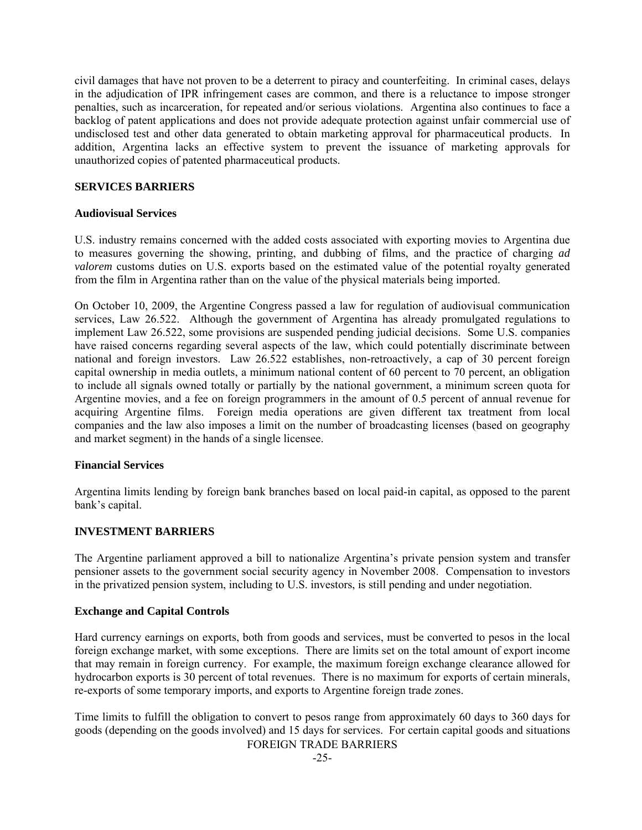civil damages that have not proven to be a deterrent to piracy and counterfeiting. In criminal cases, delays in the adjudication of IPR infringement cases are common, and there is a reluctance to impose stronger penalties, such as incarceration, for repeated and/or serious violations. Argentina also continues to face a backlog of patent applications and does not provide adequate protection against unfair commercial use of undisclosed test and other data generated to obtain marketing approval for pharmaceutical products. In addition, Argentina lacks an effective system to prevent the issuance of marketing approvals for unauthorized copies of patented pharmaceutical products.

## **SERVICES BARRIERS**

## **Audiovisual Services**

U.S. industry remains concerned with the added costs associated with exporting movies to Argentina due to measures governing the showing, printing, and dubbing of films, and the practice of charging *ad valorem* customs duties on U.S. exports based on the estimated value of the potential royalty generated from the film in Argentina rather than on the value of the physical materials being imported.

On October 10, 2009, the Argentine Congress passed a law for regulation of audiovisual communication services, Law 26.522. Although the government of Argentina has already promulgated regulations to implement Law 26.522, some provisions are suspended pending judicial decisions. Some U.S. companies have raised concerns regarding several aspects of the law, which could potentially discriminate between national and foreign investors. Law 26.522 establishes, non-retroactively, a cap of 30 percent foreign capital ownership in media outlets, a minimum national content of 60 percent to 70 percent, an obligation to include all signals owned totally or partially by the national government, a minimum screen quota for Argentine movies, and a fee on foreign programmers in the amount of 0.5 percent of annual revenue for acquiring Argentine films. Foreign media operations are given different tax treatment from local companies and the law also imposes a limit on the number of broadcasting licenses (based on geography and market segment) in the hands of a single licensee.

## **Financial Services**

Argentina limits lending by foreign bank branches based on local paid-in capital, as opposed to the parent bank's capital.

## **INVESTMENT BARRIERS**

The Argentine parliament approved a bill to nationalize Argentina's private pension system and transfer pensioner assets to the government social security agency in November 2008. Compensation to investors in the privatized pension system, including to U.S. investors, is still pending and under negotiation.

## **Exchange and Capital Controls**

Hard currency earnings on exports, both from goods and services, must be converted to pesos in the local foreign exchange market, with some exceptions. There are limits set on the total amount of export income that may remain in foreign currency. For example, the maximum foreign exchange clearance allowed for hydrocarbon exports is 30 percent of total revenues. There is no maximum for exports of certain minerals, re-exports of some temporary imports, and exports to Argentine foreign trade zones.

FOREIGN TRADE BARRIERS Time limits to fulfill the obligation to convert to pesos range from approximately 60 days to 360 days for goods (depending on the goods involved) and 15 days for services. For certain capital goods and situations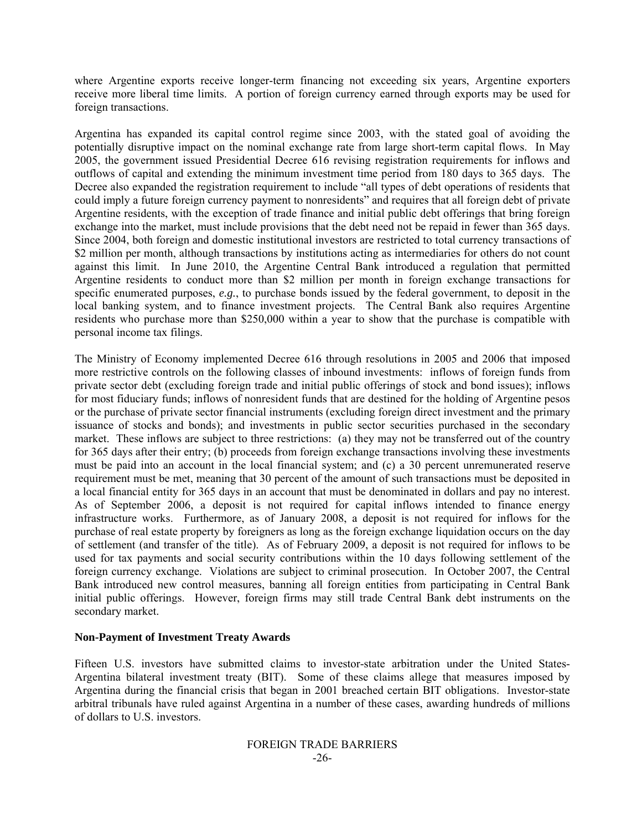where Argentine exports receive longer-term financing not exceeding six years, Argentine exporters receive more liberal time limits. A portion of foreign currency earned through exports may be used for foreign transactions.

Argentina has expanded its capital control regime since 2003, with the stated goal of avoiding the potentially disruptive impact on the nominal exchange rate from large short-term capital flows. In May 2005, the government issued Presidential Decree 616 revising registration requirements for inflows and outflows of capital and extending the minimum investment time period from 180 days to 365 days. The Decree also expanded the registration requirement to include "all types of debt operations of residents that could imply a future foreign currency payment to nonresidents" and requires that all foreign debt of private Argentine residents, with the exception of trade finance and initial public debt offerings that bring foreign exchange into the market, must include provisions that the debt need not be repaid in fewer than 365 days. Since 2004, both foreign and domestic institutional investors are restricted to total currency transactions of \$2 million per month, although transactions by institutions acting as intermediaries for others do not count against this limit. In June 2010, the Argentine Central Bank introduced a regulation that permitted Argentine residents to conduct more than \$2 million per month in foreign exchange transactions for specific enumerated purposes, *e.g.*, to purchase bonds issued by the federal government, to deposit in the local banking system, and to finance investment projects. The Central Bank also requires Argentine residents who purchase more than \$250,000 within a year to show that the purchase is compatible with personal income tax filings.

The Ministry of Economy implemented Decree 616 through resolutions in 2005 and 2006 that imposed more restrictive controls on the following classes of inbound investments: inflows of foreign funds from private sector debt (excluding foreign trade and initial public offerings of stock and bond issues); inflows for most fiduciary funds; inflows of nonresident funds that are destined for the holding of Argentine pesos or the purchase of private sector financial instruments (excluding foreign direct investment and the primary issuance of stocks and bonds); and investments in public sector securities purchased in the secondary market. These inflows are subject to three restrictions: (a) they may not be transferred out of the country for 365 days after their entry; (b) proceeds from foreign exchange transactions involving these investments must be paid into an account in the local financial system; and (c) a 30 percent unremunerated reserve requirement must be met, meaning that 30 percent of the amount of such transactions must be deposited in a local financial entity for 365 days in an account that must be denominated in dollars and pay no interest. As of September 2006, a deposit is not required for capital inflows intended to finance energy infrastructure works. Furthermore, as of January 2008, a deposit is not required for inflows for the purchase of real estate property by foreigners as long as the foreign exchange liquidation occurs on the day of settlement (and transfer of the title). As of February 2009, a deposit is not required for inflows to be used for tax payments and social security contributions within the 10 days following settlement of the foreign currency exchange. Violations are subject to criminal prosecution. In October 2007, the Central Bank introduced new control measures, banning all foreign entities from participating in Central Bank initial public offerings. However, foreign firms may still trade Central Bank debt instruments on the secondary market.

## **Non-Payment of Investment Treaty Awards**

Fifteen U.S. investors have submitted claims to investor-state arbitration under the United States-Argentina bilateral investment treaty (BIT). Some of these claims allege that measures imposed by Argentina during the financial crisis that began in 2001 breached certain BIT obligations. Investor-state arbitral tribunals have ruled against Argentina in a number of these cases, awarding hundreds of millions of dollars to U.S. investors.